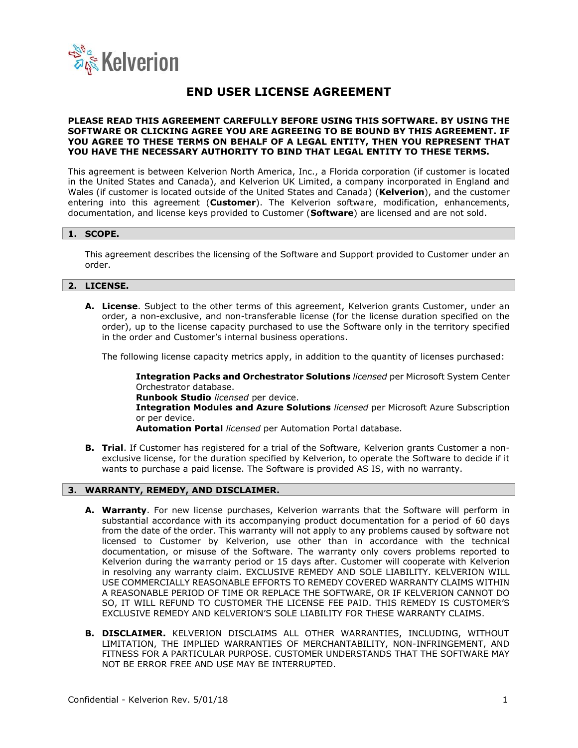

# **END USER LICENSE AGREEMENT**

#### **PLEASE READ THIS AGREEMENT CAREFULLY BEFORE USING THIS SOFTWARE. BY USING THE SOFTWARE OR CLICKING AGREE YOU ARE AGREEING TO BE BOUND BY THIS AGREEMENT. IF YOU AGREE TO THESE TERMS ON BEHALF OF A LEGAL ENTITY, THEN YOU REPRESENT THAT YOU HAVE THE NECESSARY AUTHORITY TO BIND THAT LEGAL ENTITY TO THESE TERMS.**

This agreement is between Kelverion North America, Inc., a Florida corporation (if customer is located in the United States and Canada), and Kelverion UK Limited, a company incorporated in England and Wales (if customer is located outside of the United States and Canada) (**Kelverion**), and the customer entering into this agreement (**Customer**). The Kelverion software, modification, enhancements, documentation, and license keys provided to Customer (**Software**) are licensed and are not sold.

# **1. SCOPE.**

This agreement describes the licensing of the Software and Support provided to Customer under an order.

# **2. LICENSE.**

**A. License**. Subject to the other terms of this agreement, Kelverion grants Customer, under an order, a non-exclusive, and non-transferable license (for the license duration specified on the order), up to the license capacity purchased to use the Software only in the territory specified in the order and Customer's internal business operations.

The following license capacity metrics apply, in addition to the quantity of licenses purchased:

**Integration Packs and Orchestrator Solutions** *licensed* per Microsoft System Center Orchestrator database. **Runbook Studio** *licensed* per device. **Integration Modules and Azure Solutions** *licensed* per Microsoft Azure Subscription or per device.

**Automation Portal** *licensed* per Automation Portal database.

**B. Trial**. If Customer has registered for a trial of the Software, Kelverion grants Customer a nonexclusive license, for the duration specified by Kelverion, to operate the Software to decide if it wants to purchase a paid license. The Software is provided AS IS, with no warranty.

# **3. WARRANTY, REMEDY, AND DISCLAIMER.**

- **A. Warranty**. For new license purchases, Kelverion warrants that the Software will perform in substantial accordance with its accompanying product documentation for a period of 60 days from the date of the order. This warranty will not apply to any problems caused by software not licensed to Customer by Kelverion, use other than in accordance with the technical documentation, or misuse of the Software. The warranty only covers problems reported to Kelverion during the warranty period or 15 days after. Customer will cooperate with Kelverion in resolving any warranty claim. EXCLUSIVE REMEDY AND SOLE LIABILITY. KELVERION WILL USE COMMERCIALLY REASONABLE EFFORTS TO REMEDY COVERED WARRANTY CLAIMS WITHIN A REASONABLE PERIOD OF TIME OR REPLACE THE SOFTWARE, OR IF KELVERION CANNOT DO SO, IT WILL REFUND TO CUSTOMER THE LICENSE FEE PAID. THIS REMEDY IS CUSTOMER'S EXCLUSIVE REMEDY AND KELVERION'S SOLE LIABILITY FOR THESE WARRANTY CLAIMS.
- **B. DISCLAIMER.** KELVERION DISCLAIMS ALL OTHER WARRANTIES, INCLUDING, WITHOUT LIMITATION, THE IMPLIED WARRANTIES OF MERCHANTABILITY, NON-INFRINGEMENT, AND FITNESS FOR A PARTICULAR PURPOSE. CUSTOMER UNDERSTANDS THAT THE SOFTWARE MAY NOT BE ERROR FREE AND USE MAY BE INTERRUPTED.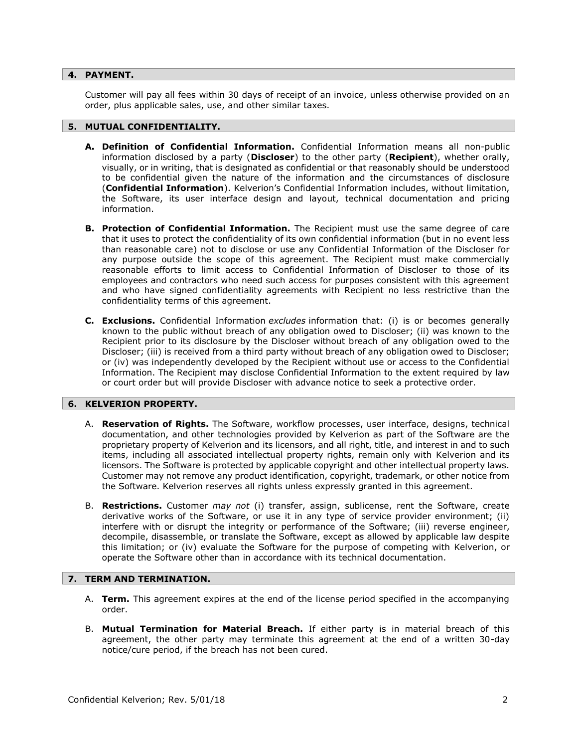#### **4. PAYMENT.**

Customer will pay all fees within 30 days of receipt of an invoice, unless otherwise provided on an order, plus applicable sales, use, and other similar taxes.

#### **5. MUTUAL CONFIDENTIALITY.**

- **A. Definition of Confidential Information.** Confidential Information means all non-public information disclosed by a party (**Discloser**) to the other party (**Recipient**), whether orally, visually, or in writing, that is designated as confidential or that reasonably should be understood to be confidential given the nature of the information and the circumstances of disclosure (**Confidential Information**). Kelverion's Confidential Information includes, without limitation, the Software, its user interface design and layout, technical documentation and pricing information.
- **B. Protection of Confidential Information.** The Recipient must use the same degree of care that it uses to protect the confidentiality of its own confidential information (but in no event less than reasonable care) not to disclose or use any Confidential Information of the Discloser for any purpose outside the scope of this agreement. The Recipient must make commercially reasonable efforts to limit access to Confidential Information of Discloser to those of its employees and contractors who need such access for purposes consistent with this agreement and who have signed confidentiality agreements with Recipient no less restrictive than the confidentiality terms of this agreement.
- **C. Exclusions.** Confidential Information *excludes* information that: (i) is or becomes generally known to the public without breach of any obligation owed to Discloser; (ii) was known to the Recipient prior to its disclosure by the Discloser without breach of any obligation owed to the Discloser; (iii) is received from a third party without breach of any obligation owed to Discloser; or (iv) was independently developed by the Recipient without use or access to the Confidential Information. The Recipient may disclose Confidential Information to the extent required by law or court order but will provide Discloser with advance notice to seek a protective order.

#### **6. KELVERION PROPERTY.**

- A. **Reservation of Rights.** The Software, workflow processes, user interface, designs, technical documentation, and other technologies provided by Kelverion as part of the Software are the proprietary property of Kelverion and its licensors, and all right, title, and interest in and to such items, including all associated intellectual property rights, remain only with Kelverion and its licensors. The Software is protected by applicable copyright and other intellectual property laws. Customer may not remove any product identification, copyright, trademark, or other notice from the Software. Kelverion reserves all rights unless expressly granted in this agreement.
- B. **Restrictions.** Customer *may not* (i) transfer, assign, sublicense, rent the Software, create derivative works of the Software, or use it in any type of service provider environment; (ii) interfere with or disrupt the integrity or performance of the Software; (iii) reverse engineer, decompile, disassemble, or translate the Software, except as allowed by applicable law despite this limitation; or (iv) evaluate the Software for the purpose of competing with Kelverion, or operate the Software other than in accordance with its technical documentation.

# **7. TERM AND TERMINATION.**

- A. **Term.** This agreement expires at the end of the license period specified in the accompanying order.
- B. **Mutual Termination for Material Breach.** If either party is in material breach of this agreement, the other party may terminate this agreement at the end of a written 30-day notice/cure period, if the breach has not been cured.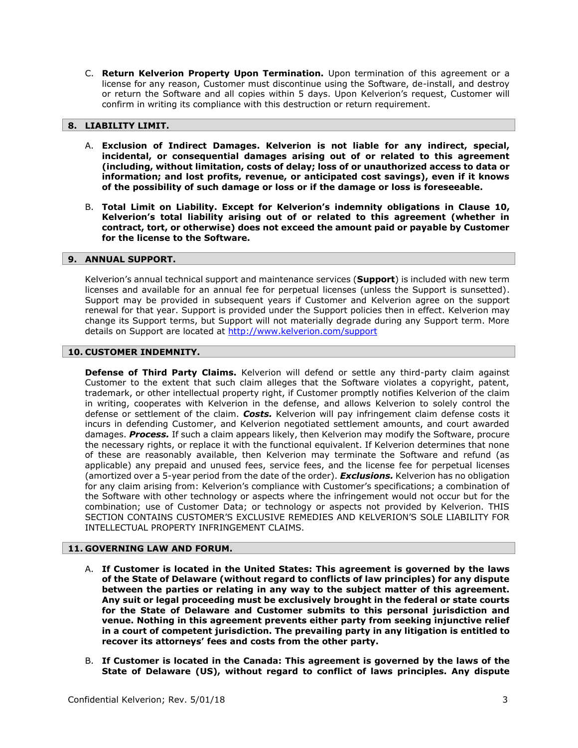C. **Return Kelverion Property Upon Termination.** Upon termination of this agreement or a license for any reason, Customer must discontinue using the Software, de-install, and destroy or return the Software and all copies within 5 days. Upon Kelverion's request, Customer will confirm in writing its compliance with this destruction or return requirement.

# **8. LIABILITY LIMIT.**

- A. **Exclusion of Indirect Damages. Kelverion is not liable for any indirect, special, incidental, or consequential damages arising out of or related to this agreement (including, without limitation, costs of delay; loss of or unauthorized access to data or information; and lost profits, revenue, or anticipated cost savings), even if it knows of the possibility of such damage or loss or if the damage or loss is foreseeable.**
- B. **Total Limit on Liability. Except for Kelverion's indemnity obligations in Clause 10, Kelverion's total liability arising out of or related to this agreement (whether in contract, tort, or otherwise) does not exceed the amount paid or payable by Customer for the license to the Software.**

#### **9. ANNUAL SUPPORT.**

Kelverion's annual technical support and maintenance services (**Support**) is included with new term licenses and available for an annual fee for perpetual licenses (unless the Support is sunsetted). Support may be provided in subsequent years if Customer and Kelverion agree on the support renewal for that year. Support is provided under the Support policies then in effect. Kelverion may change its Support terms, but Support will not materially degrade during any Support term. More details on Support are located at<http://www.kelverion.com/support>

# **10. CUSTOMER INDEMNITY.**

**Defense of Third Party Claims.** Kelverion will defend or settle any third-party claim against Customer to the extent that such claim alleges that the Software violates a copyright, patent, trademark, or other intellectual property right, if Customer promptly notifies Kelverion of the claim in writing, cooperates with Kelverion in the defense, and allows Kelverion to solely control the defense or settlement of the claim. *Costs.* Kelverion will pay infringement claim defense costs it incurs in defending Customer, and Kelverion negotiated settlement amounts, and court awarded damages. *Process.* If such a claim appears likely, then Kelverion may modify the Software, procure the necessary rights, or replace it with the functional equivalent. If Kelverion determines that none of these are reasonably available, then Kelverion may terminate the Software and refund (as applicable) any prepaid and unused fees, service fees, and the license fee for perpetual licenses (amortized over a 5-year period from the date of the order). *Exclusions.* Kelverion has no obligation for any claim arising from: Kelverion's compliance with Customer's specifications; a combination of the Software with other technology or aspects where the infringement would not occur but for the combination; use of Customer Data; or technology or aspects not provided by Kelverion. THIS SECTION CONTAINS CUSTOMER'S EXCLUSIVE REMEDIES AND KELVERION'S SOLE LIABILITY FOR INTELLECTUAL PROPERTY INFRINGEMENT CLAIMS.

# **11. GOVERNING LAW AND FORUM.**

- A. **If Customer is located in the United States: This agreement is governed by the laws of the State of Delaware (without regard to conflicts of law principles) for any dispute between the parties or relating in any way to the subject matter of this agreement. Any suit or legal proceeding must be exclusively brought in the federal or state courts for the State of Delaware and Customer submits to this personal jurisdiction and venue. Nothing in this agreement prevents either party from seeking injunctive relief in a court of competent jurisdiction. The prevailing party in any litigation is entitled to recover its attorneys' fees and costs from the other party.**
- B. **If Customer is located in the Canada: This agreement is governed by the laws of the State of Delaware (US), without regard to conflict of laws principles. Any dispute**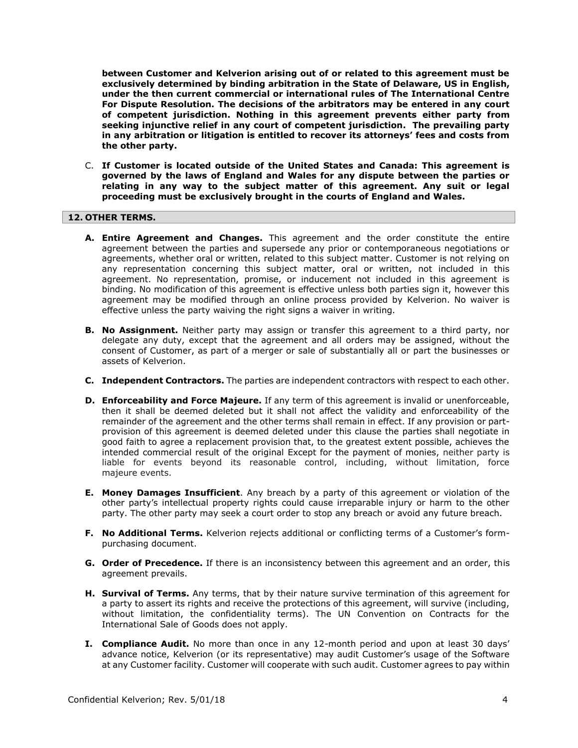**between Customer and Kelverion arising out of or related to this agreement must be exclusively determined by binding arbitration in the State of Delaware, US in English, under the then current commercial or international rules of The International Centre For Dispute Resolution. The decisions of the arbitrators may be entered in any court of competent jurisdiction. Nothing in this agreement prevents either party from seeking injunctive relief in any court of competent jurisdiction. The prevailing party in any arbitration or litigation is entitled to recover its attorneys' fees and costs from the other party.** 

C. **If Customer is located outside of the United States and Canada: This agreement is governed by the laws of England and Wales for any dispute between the parties or relating in any way to the subject matter of this agreement. Any suit or legal proceeding must be exclusively brought in the courts of England and Wales.**

#### **12. OTHER TERMS.**

- **A. Entire Agreement and Changes.** This agreement and the order constitute the entire agreement between the parties and supersede any prior or contemporaneous negotiations or agreements, whether oral or written, related to this subject matter. Customer is not relying on any representation concerning this subject matter, oral or written, not included in this agreement. No representation, promise, or inducement not included in this agreement is binding. No modification of this agreement is effective unless both parties sign it, however this agreement may be modified through an online process provided by Kelverion. No waiver is effective unless the party waiving the right signs a waiver in writing.
- **B. No Assignment.** Neither party may assign or transfer this agreement to a third party, nor delegate any duty, except that the agreement and all orders may be assigned, without the consent of Customer, as part of a merger or sale of substantially all or part the businesses or assets of Kelverion.
- **C. Independent Contractors.** The parties are independent contractors with respect to each other.
- **D. Enforceability and Force Majeure.** If any term of this agreement is invalid or unenforceable, then it shall be deemed deleted but it shall not affect the validity and enforceability of the remainder of the agreement and the other terms shall remain in effect. If any provision or partprovision of this agreement is deemed deleted under this clause the parties shall negotiate in good faith to agree a replacement provision that, to the greatest extent possible, achieves the intended commercial result of the original Except for the payment of monies, neither party is liable for events beyond its reasonable control, including, without limitation, force majeure events.
- **E. Money Damages Insufficient**. Any breach by a party of this agreement or violation of the other party's intellectual property rights could cause irreparable injury or harm to the other party. The other party may seek a court order to stop any breach or avoid any future breach.
- **F. No Additional Terms.** Kelverion rejects additional or conflicting terms of a Customer's formpurchasing document.
- **G. Order of Precedence.** If there is an inconsistency between this agreement and an order, this agreement prevails.
- **H. Survival of Terms.** Any terms, that by their nature survive termination of this agreement for a party to assert its rights and receive the protections of this agreement, will survive (including, without limitation, the confidentiality terms). The UN Convention on Contracts for the International Sale of Goods does not apply.
- **I. Compliance Audit.** No more than once in any 12-month period and upon at least 30 days' advance notice, Kelverion (or its representative) may audit Customer's usage of the Software at any Customer facility. Customer will cooperate with such audit. Customer agrees to pay within